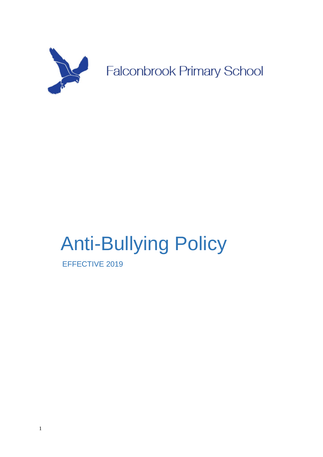

# Anti-Bullying Policy

EFFECTIVE 2019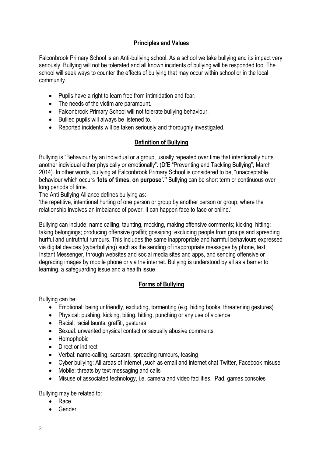## **Principles and Values**

Falconbrook Primary School is an Anti-bullying school. As a school we take bullying and its impact very seriously. Bullying will not be tolerated and all known incidents of bullying will be responded too. The school will seek ways to counter the effects of bullying that may occur within school or in the local community.

- Pupils have a right to learn free from intimidation and fear.
- The needs of the victim are paramount.
- Falconbrook Primary School will not tolerate bullying behaviour.
- Bullied pupils will always be listened to.
- Reported incidents will be taken seriously and thoroughly investigated.

# **Definition of Bullying**

Bullying is "Behaviour by an individual or a group, usually repeated over time that intentionally hurts another individual either physically or emotionally". (DfE "Preventing and Tackling Bullying", March 2014). In other words, bullying at Falconbrook Primary School is considered to be, "unacceptable behaviour which occurs **'lots of times, on purpose'."** Bullying can be short term or continuous over long periods of time.

The Anti Bullying Alliance defines bullying as:

'the repetitive, intentional hurting of one person or group by another person or group, where the relationship involves an imbalance of power. It can happen face to face or online.'

Bullying can include: name calling, taunting, mocking, making offensive comments; kicking; hitting; taking belongings; producing offensive graffiti; gossiping; excluding people from groups and spreading hurtful and untruthful rumours. This includes the same inappropriate and harmful behaviours expressed via digital devices (cyberbullying) such as the sending of inappropriate messages by phone, text, Instant Messenger, through websites and social media sites and apps, and sending offensive or degrading images by mobile phone or via the internet. Bullying is understood by all as a barrier to learning, a safeguarding issue and a health issue.

# **Forms of Bullying**

Bullying can be:

- Emotional: being unfriendly, excluding, tormenting (e.g. hiding books, threatening gestures)
- Physical: pushing, kicking, biting, hitting, punching or any use of violence
- Racial: racial taunts, graffiti, gestures
- Sexual: unwanted physical contact or sexually abusive comments
- Homophobic
- Direct or indirect
- Verbal: name-calling, sarcasm, spreading rumours, teasing
- Cyber bullying: All areas of internet ,such as email and internet chat Twitter, Facebook misuse
- Mobile: threats by text messaging and calls
- Misuse of associated technology, i.e. camera and video facilities, IPad, games consoles

Bullying may be related to:

- Race
- Gender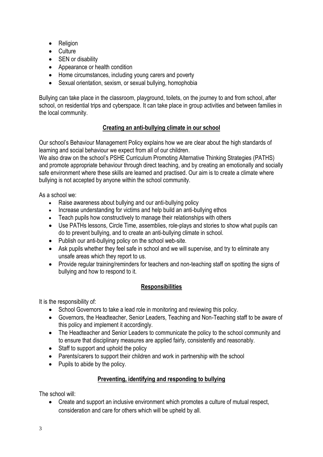- Religion
- Culture
- SEN or disability
- Appearance or health condition
- Home circumstances, including young carers and poverty
- Sexual orientation, sexism, or sexual bullying, homophobia

Bullying can take place in the classroom, playground, toilets, on the journey to and from school, after school, on residential trips and cyberspace. It can take place in group activities and between families in the local community.

# **Creating an anti-bullying climate in our school**

Our school's Behaviour Management Policy explains how we are clear about the high standards of learning and social behaviour we expect from all of our children.

We also draw on the school's PSHE Curriculum Promoting Alternative Thinking Strategies (PATHS) and promote appropriate behaviour through direct teaching, and by creating an emotionally and socially safe environment where these skills are learned and practised. Our aim is to create a climate where bullying is not accepted by anyone within the school community.

As a school we:

- Raise awareness about bullying and our anti-bullying policy
- Increase understanding for victims and help build an anti-bullying ethos
- Teach pupils how constructively to manage their relationships with others
- Use PATHs lessons, Circle Time, assemblies, role-plays and stories to show what pupils can do to prevent bullying, and to create an anti-bullying climate in school.
- Publish our anti-bullying policy on the school web-site.
- Ask pupils whether they feel safe in school and we will supervise, and try to eliminate any unsafe areas which they report to us.
- Provide regular training/reminders for teachers and non-teaching staff on spotting the signs of bullying and how to respond to it.

## **Responsibilities**

It is the responsibility of:

- School Governors to take a lead role in monitoring and reviewing this policy.
- Governors, the Headteacher, Senior Leaders, Teaching and Non-Teaching staff to be aware of this policy and implement it accordingly.
- The Headteacher and Senior Leaders to communicate the policy to the school community and to ensure that disciplinary measures are applied fairly, consistently and reasonably.
- Staff to support and uphold the policy
- Parents/carers to support their children and work in partnership with the school
- Pupils to abide by the policy.

## **Preventing, identifying and responding to bullying**

The school will:

• Create and support an inclusive environment which promotes a culture of mutual respect, consideration and care for others which will be upheld by all.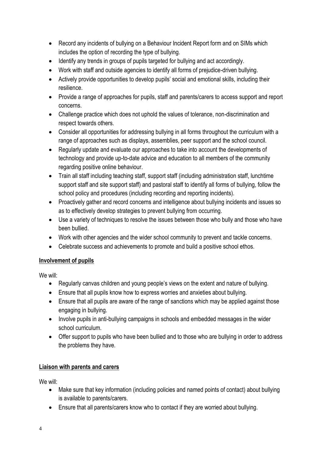- Record any incidents of bullying on a Behaviour Incident Report form and on SIMs which includes the option of recording the type of bullying.
- Identify any trends in groups of pupils targeted for bullying and act accordingly.
- Work with staff and outside agencies to identify all forms of prejudice-driven bullying.
- Actively provide opportunities to develop pupils' social and emotional skills, including their resilience.
- Provide a range of approaches for pupils, staff and parents/carers to access support and report concerns.
- Challenge practice which does not uphold the values of tolerance, non-discrimination and respect towards others.
- Consider all opportunities for addressing bullying in all forms throughout the curriculum with a range of approaches such as displays, assemblies, peer support and the school council.
- Regularly update and evaluate our approaches to take into account the developments of technology and provide up-to-date advice and education to all members of the community regarding positive online behaviour.
- Train all staff including teaching staff, support staff (including administration staff, lunchtime support staff and site support staff) and pastoral staff to identify all forms of bullying, follow the school policy and procedures (including recording and reporting incidents).
- Proactively gather and record concerns and intelligence about bullying incidents and issues so as to effectively develop strategies to prevent bullying from occurring.
- Use a variety of techniques to resolve the issues between those who bully and those who have been bullied.
- Work with other agencies and the wider school community to prevent and tackle concerns.
- Celebrate success and achievements to promote and build a positive school ethos.

# **Involvement of pupils**

We will:

- Regularly canvas children and young people's views on the extent and nature of bullying.
- Ensure that all pupils know how to express worries and anxieties about bullying.
- Ensure that all pupils are aware of the range of sanctions which may be applied against those engaging in bullying.
- Involve pupils in anti-bullying campaigns in schools and embedded messages in the wider school curriculum.
- Offer support to pupils who have been bullied and to those who are bullying in order to address the problems they have.

# **Liaison with parents and carers**

We will:

- Make sure that key information (including policies and named points of contact) about bullying is available to parents/carers.
- Ensure that all parents/carers know who to contact if they are worried about bullying.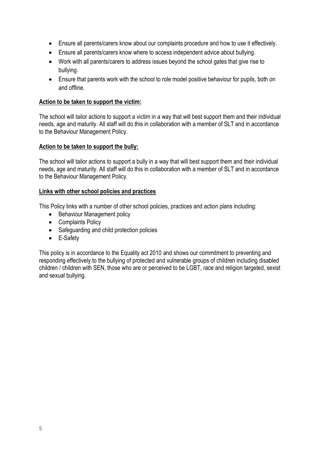- Ensure all parents/carers know about our complaints procedure and how to use it effectively.
- Ensure all parents/carers know where to access independent advice about bullying.
- Work with all parents/carers to address issues beyond the school gates that give rise to bullying.
- Ensure that parents work with the school to role model positive behaviour for pupils, both on and offline.

#### **Action to be taken to support the victim:**

The school will tailor actions to support a victim in a way that will best support them and their individual needs, age and maturity. All staff will do this in collaboration with a member of SLT and in accordance to the Behaviour Management Policy.

#### **Action to be taken to support the bully:**

The school will tailor actions to support a bully in a way that will best support them and their individual needs, age and maturity. All staff will do this in collaboration with a member of SLT and in accordance to the Behaviour Management Policy.

#### **Links with other school policies and practices**

This Policy links with a number of other school policies, practices and action plans including:

- Behaviour Management policy
- Complaints Policy
- Safeguarding and child protection policies
- E-Safety

This policy is in accordance to the Equality act 2010 and shows our commitment to preventing and responding effectively to the bullying of protected and vulnerable groups of children including disabled children / children with SEN, those who are or perceived to be LGBT, race and religion targeted, sexist and sexual bullying.